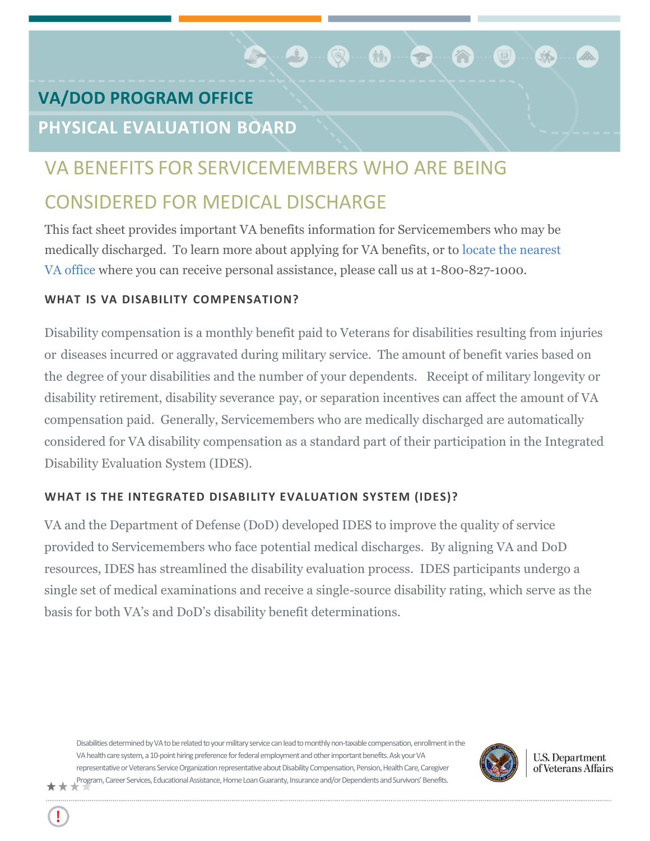# **VA/DOD PROGRAM OFFICE**

# **PHYSICAL EVALUATION BOARD**

# VA BENEFITS FOR SERVICEMEMBERS WHO ARE BEING

**RAD** 

 $\hat{N}$ 

麻

 $\circledcirc$ 

# CONSIDERED FOR MEDICAL DISCHARGE

This fact sheet provides important VA benefits information for Servicemembers who may be medically discharged. To learn more about applying for VA benefits, or to [locate the nearest](http://www.va.gov/directory/guide/division.asp?dnum=3&isFlash=0)  [VA off](http://www.va.gov/directory/guide/division.asp?dnum=3&isFlash=0)ice where you can receive personal assistance, please call us at 1-800-827-1000.

# **WHAT IS VA DISABILITY COMPENSATION?**

Disability compensation is a monthly benefit paid to Veterans for disabilities resulting from injuries or diseases incurred or aggravated during military service. The amount of benefit varies based on the degree of your disabilities and the number of your dependents. Receipt of military longevity or disability retirement, disability severance pay, or separation incentives can affect the amount of VA compensation paid. Generally, Servicemembers who are medically discharged are automatically considered for VA disability compensation as a standard part of their participation in the Integrated Disability Evaluation System (IDES).

# **WHAT IS THE INTEGRATED DISABILITY EVALUATION SYSTEM (IDES)?**

VA and the Department of Defense (DoD) developed IDES to improve the quality of service provided to Servicemembers who face potential medical discharges. By aligning VA and DoD resources, IDES has streamlined the disability evaluation process. IDES participants undergo a single set of medical examinations and receive a single-source disability rating, which serve as the basis for both VA's and DoD's disability benefit determinations.

Disabilities determined by VA to be related to your military service can lead to monthly non-taxable compensation, enrollment in the VA health care system, a 10-point hiring preference for federal employment and other important benefits. Ask your VA representative or Veterans Service Organization representative about Disability Compensation, Pension, Health Care, Caregiver Program, Career Services, Educational Assistance, Home Loan Guaranty, Insurance and/or Dependents and Survivors' Benefits.



**U.S. Department** of Veterans Affairs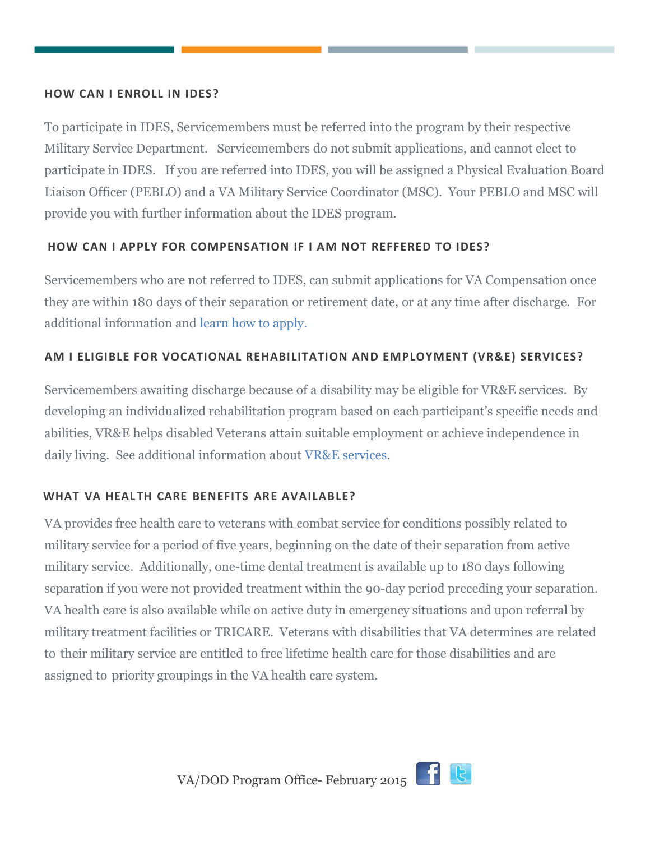#### **HOW CAN I ENROLL IN IDES?**

To participate in IDES, Servicemembers must be referred into the program by their respective Military Service Department. Servicemembers do not submit applications, and cannot elect to participate in IDES. If you are referred into IDES, you will be assigned a Physical Evaluation Board Liaison Officer (PEBLO) and a VA Military Service Coordinator (MSC). Your PEBLO and MSC will provide you with further information about the IDES program.

## **HOW CAN I APPLY FOR COMPENSATION IF I AM NOT REFFERED TO IDES?**

Servicemembers who are not referred to IDES, can submit applications for VA Compensation once they are within 180 days of their separation or retirement date, or at any time after discharge. For additional information and [learn how to apply.](http://www.benefits.va.gov/compensation)

## **AM I ELIGIBLE FOR VOCATIONAL REHABILITATION AND EMPLOYMENT (VR&E) SERVICES?**

Servicemembers awaiting discharge because of a disability may be eligible for VR&E services. By developing an individualized rehabilitation program based on each participant's specific needs and abilities, VR&E helps disabled Veterans attain suitable employment or achieve independence in daily living. See additional information about [VR&E services.](http://www.vba.va.gov/bln/vre)

## **WHAT VA HEALTH CARE BENEFITS ARE AVAILABLE?**

VA provides free health care to veterans with combat service for conditions possibly related to military service for a period of five years, beginning on the date of their separation from active military service. Additionally, one-time dental treatment is available up to 180 days following separation if you were not provided treatment within the 90-day period preceding your separation. VA health care is also available while on active duty in emergency situations and upon referral by military treatment facilities or TRICARE. Veterans with disabilities that VA determines are related to their military service are entitled to free lifetime health care for those disabilities and are assigned to priority groupings in the VA health care system.

VA/DOD Program Office- February 2015